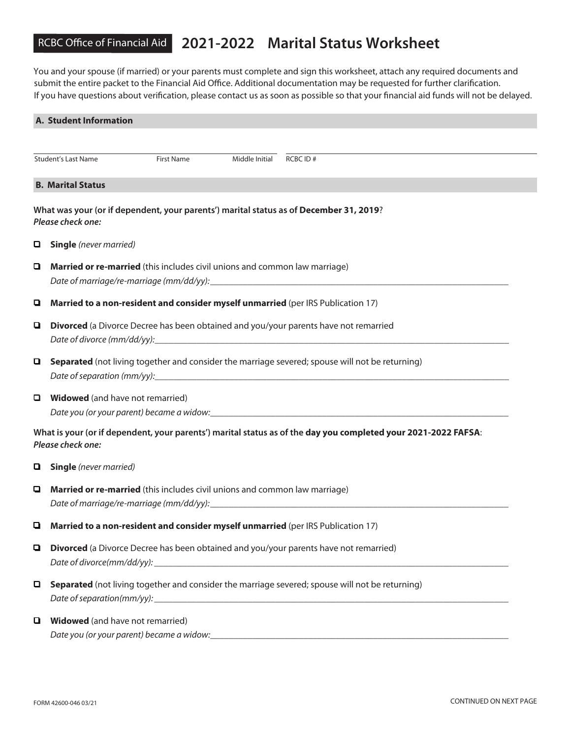## RCBC Office of Financial Aid **2021-2022 Marital Status Worksheet**

You and your spouse (if married) or your parents must complete and sign this worksheet, attach any required documents and submit the entire packet to the Financial Aid Office. Additional documentation may be requested for further clarification. If you have questions about verification, please contact us as soon as possible so that your financial aid funds will not be delayed.

|                                                                   | <b>A. Student Information</b>                                                                               |  |          |                                                                                                                |  |  |
|-------------------------------------------------------------------|-------------------------------------------------------------------------------------------------------------|--|----------|----------------------------------------------------------------------------------------------------------------|--|--|
|                                                                   |                                                                                                             |  |          |                                                                                                                |  |  |
| <b>Student's Last Name</b><br><b>First Name</b><br>Middle Initial |                                                                                                             |  | RCBC ID# |                                                                                                                |  |  |
|                                                                   | <b>B. Marital Status</b>                                                                                    |  |          |                                                                                                                |  |  |
|                                                                   | What was your (or if dependent, your parents') marital status as of December 31, 2019?<br>Please check one: |  |          |                                                                                                                |  |  |
| 0                                                                 | <b>Single</b> (never married)                                                                               |  |          |                                                                                                                |  |  |
| Q.                                                                | Married or re-married (this includes civil unions and common law marriage)                                  |  |          |                                                                                                                |  |  |
| Q                                                                 | Married to a non-resident and consider myself unmarried (per IRS Publication 17)                            |  |          |                                                                                                                |  |  |
| Q                                                                 | Divorced (a Divorce Decree has been obtained and you/your parents have not remarried                        |  |          |                                                                                                                |  |  |
| 9.                                                                | <b>Separated</b> (not living together and consider the marriage severed; spouse will not be returning)      |  |          |                                                                                                                |  |  |
|                                                                   | <b>Widowed</b> (and have not remarried)                                                                     |  |          |                                                                                                                |  |  |
|                                                                   | Please check one:                                                                                           |  |          | What is your (or if dependent, your parents') marital status as of the day you completed your 2021-2022 FAFSA: |  |  |
| Q                                                                 | <b>Single</b> (never married)                                                                               |  |          |                                                                                                                |  |  |
| Q                                                                 | Married or re-married (this includes civil unions and common law marriage)                                  |  |          |                                                                                                                |  |  |
| Q                                                                 | Married to a non-resident and consider myself unmarried (per IRS Publication 17)                            |  |          |                                                                                                                |  |  |
| О                                                                 | Divorced (a Divorce Decree has been obtained and you/your parents have not remarried)                       |  |          |                                                                                                                |  |  |
| $\Box$                                                            | Separated (not living together and consider the marriage severed; spouse will not be returning)             |  |          |                                                                                                                |  |  |
| Q                                                                 | <b>Widowed</b> (and have not remarried)                                                                     |  |          | Date you (or your parent) became a widow:<br>                                                                  |  |  |